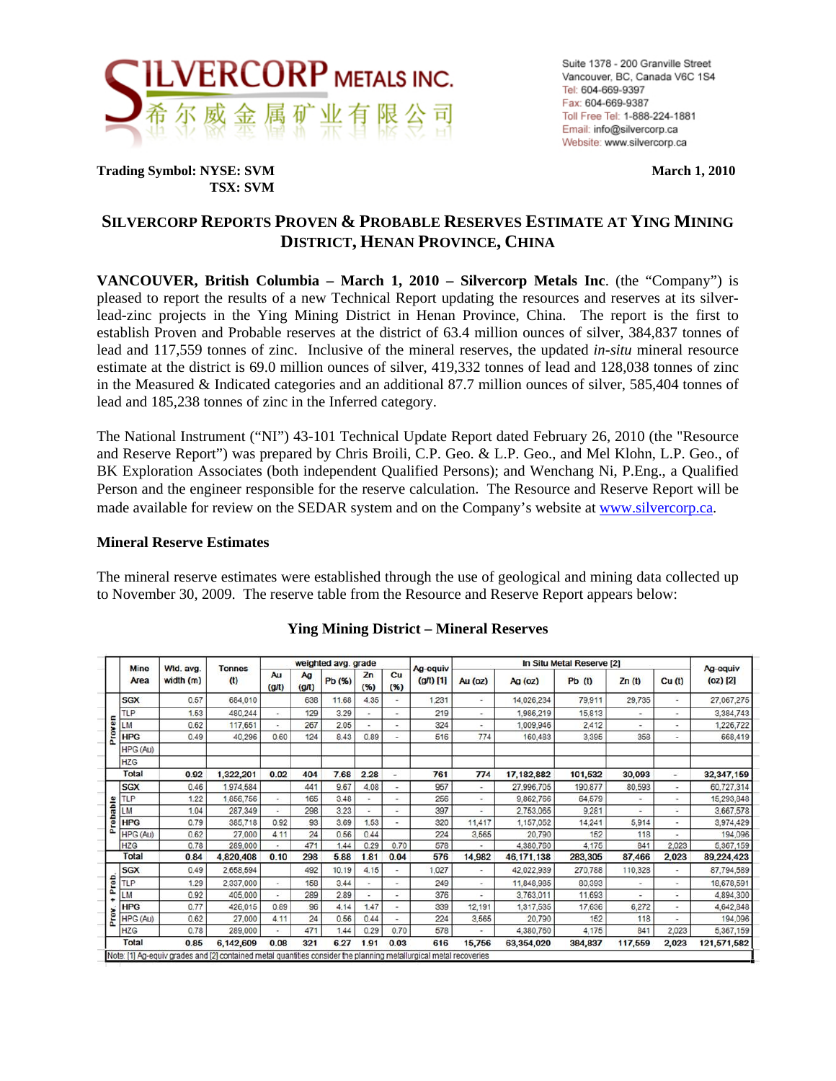

**Trading Symbol: NYSE: SVM** March 1, 2010  **TSX: SVM** 

# **SILVERCORP REPORTS PROVEN & PROBABLE RESERVES ESTIMATE AT YING MINING DISTRICT, HENAN PROVINCE, CHINA**

**VANCOUVER, British Columbia – March 1, 2010 – Silvercorp Metals Inc**. (the "Company") is pleased to report the results of a new Technical Report updating the resources and reserves at its silverlead-zinc projects in the Ying Mining District in Henan Province, China. The report is the first to establish Proven and Probable reserves at the district of 63.4 million ounces of silver, 384,837 tonnes of lead and 117,559 tonnes of zinc. Inclusive of the mineral reserves, the updated *in-situ* mineral resource estimate at the district is 69.0 million ounces of silver, 419,332 tonnes of lead and 128,038 tonnes of zinc in the Measured & Indicated categories and an additional 87.7 million ounces of silver, 585,404 tonnes of lead and 185,238 tonnes of zinc in the Inferred category.

The National Instrument ("NI") 43-101 Technical Update Report dated February 26, 2010 (the "Resource and Reserve Report") was prepared by Chris Broili, C.P. Geo. & L.P. Geo., and Mel Klohn, L.P. Geo., of BK Exploration Associates (both independent Qualified Persons); and Wenchang Ni, P.Eng., a Qualified Person and the engineer responsible for the reserve calculation. The Resource and Reserve Report will be made available for review on the SEDAR system and on the Company's website at www.silvercorp.ca.

#### **Mineral Reserve Estimates**

The mineral reserve estimates were established through the use of geological and mining data collected up to November 30, 2009. The reserve table from the Resource and Reserve Report appears below:

|       | <b>Mine</b>  | Wtd. avg. | <b>Tonnes</b><br>(t) |                          | weighted avg. grade |        |            |                          | Ag-equiv    |         |              |          |                |                          |                      |
|-------|--------------|-----------|----------------------|--------------------------|---------------------|--------|------------|--------------------------|-------------|---------|--------------|----------|----------------|--------------------------|----------------------|
|       | Area         | width (m) |                      | Au<br>(g/t)              | Ag<br>(g/t)         | Pb (%) | Zn<br>(96) | Cu<br>(96)               | $(g/t)$ [1] | Au (oz) | Ag (oz)      | $Pb$ (t) | Zn(t)          | Cu <sub>(t)</sub>        | Ag-equiv<br>(oz) [2] |
|       | <b>SGX</b>   | 0.57      | 684,010              |                          | 638                 | 11.68  | 4.35       | ÷                        | 1,231       | ٠       | 14,026,234   | 79,911   | 29,735         |                          | 27,067,275           |
|       | <b>TLP</b>   | 1.53      | 480,244              | $\bullet$                | 129                 | 3.29   |            | $\overline{\phantom{a}}$ | 219         | ٠       | 1,986,219    | 15,813   | $\bullet$      | $\overline{a}$           | 3,384,743            |
| En    | LM           | 0.62      | 117,651              | ٠                        | 267                 | 2.05   |            | -                        | 324         | ٠       | 1,009,946    | 2,412    |                | $\overline{a}$           | 1,226,722            |
| č     | <b>HPG</b>   | 0.49      | 40,296               | 0.60                     | 124                 | 8.43   | 0.89       | ۰                        | 516         | 774     | 160,483      | 3,395    | 358            | ٠                        | 668,419              |
|       | HPG (Au)     |           |                      |                          |                     |        |            |                          |             |         |              |          |                |                          |                      |
|       | <b>HZG</b>   |           |                      |                          |                     |        |            |                          |             |         |              |          |                |                          |                      |
|       | <b>Total</b> | 0.92      | 1,322,201            | 0.02                     | 404                 | 7.68   | 2.28       | $\overline{\phantom{a}}$ | 761         | 774     | 17,182,882   | 101,532  | 30,093         | ×,                       | 32, 347, 159         |
|       | <b>SGX</b>   | 0.46      | ,974,584             |                          | 441                 | 9.67   | 4.08       | ۰                        | 957         | ٠       | 27,996,705   | 190.877  | 80,593         | $\overline{\phantom{a}}$ | 60,727,314           |
|       | TLP          | 1.22      | ,856,756             | $\overline{\phantom{a}}$ | 165                 | 3.48   |            | ÷                        | 256         | ٠       | 9,862,766    | 64,579   | $\overline{a}$ | ٠                        | 15,293,848           |
| able  | LM           | 1.04      | 287,349              | $\overline{a}$           | 298                 | 3.23   |            |                          | 397         | ۰       | 2,753,065    | 9,281    |                | ٠                        | 3,667,578            |
| rob   | <b>HPG</b>   | 0.79      | 385,718              | 0.92                     | 93                  | 3.69   | .53        | ٠                        | 320         | 11.417  | 1,157,052    | 14.241   | 5,914          | ٠                        | 3,974,429            |
| ö     | HPG (Au)     | 0.62      | 27,000               | 4.11                     | 24                  | 0.56   | 0.44       |                          | 224         | 3,565   | 20,790       | 152      | 118            |                          | 194,096              |
|       | <b>HZG</b>   | 0.78      | 289,000              |                          | 471                 | 1.44   | 0.29       | 0.70                     | 578         |         | 4.380.760    | 4.175    | 841            | 2.023                    | 5,367,159            |
|       | <b>Total</b> | 0.84      | 4,820,408            | 0.10                     | 298                 | 5.88   | 1.81       | 0.04                     | 576         | 14,982  | 46, 171, 138 | 283,305  | 87,466         | 2,023                    | 89,224,423           |
|       | <b>SGX</b>   | 0.49      | 2,658,594            |                          | 492                 | 10.19  | 4.15       | $\overline{a}$           | 1,027       | ۰       | 42,022,939   | 270,788  | 110,328        | ٠                        | 87,794,589           |
| Prob. | TLP          | 1.29      | 2,337,000            | $\sim$                   | 158                 | 3.44   |            | ٠.                       | 249         | ٠       | 11,848,985   | 80,393   | ۰              | $\overline{a}$           | 18,678,591           |
|       | LM           | 0.92      | 405.000              | ٠                        | 289                 | 2.89   |            |                          | 376         | ٠       | 3,763,011    | 11,693   | ٠              | ÷                        | 4,894,300            |
|       | <b>HPG</b>   | 0.77      | 426,015              | 0.89                     | 96                  | 4.14   | .47        | $\overline{a}$           | 339         | 12.191  | 1,317,535    | 17,636   | 6,272          | ٠                        | 4,642,848            |
| Prov  | HPG (Au)     | 0.62      | 27,000               | 4.11                     | 24                  | 0.56   | 0.44       | ۰                        | 224         | 3,565   | 20,790       | 152      | 118            | $\overline{a}$           | 194,096              |
|       | <b>HZG</b>   | 0.78      | 289,000              | $\overline{\phantom{a}}$ | 471                 | 1.44   | 0.29       | 0.70                     | 578         |         | 4,380,760    | 4,175    | 841            | 2,023                    | 5,367,159            |
|       | <b>Total</b> | 0.85      | 6,142,609            | 0.08                     | 321                 | 6.27   | 1.91       | 0.03                     | 616         | 15,756  | 63,354,020   | 384,837  | 117,559        | 2,023                    | 121,571,582          |

### **Ying Mining District – Mineral Reserves**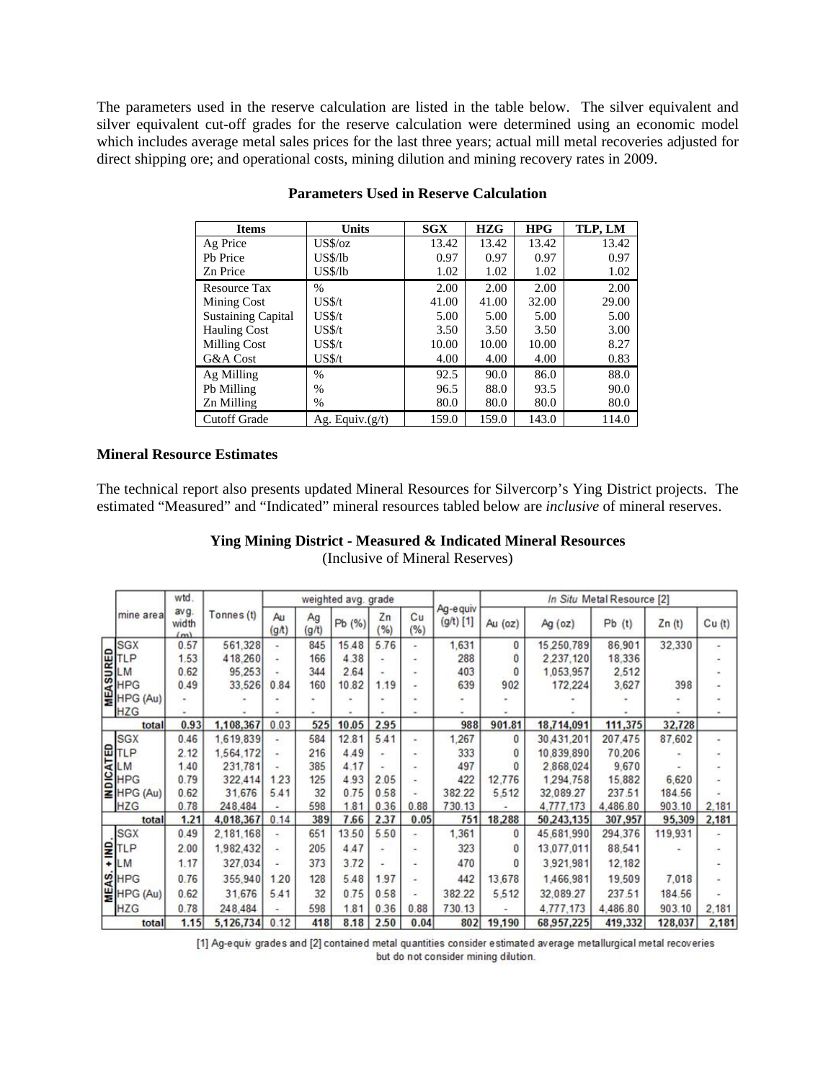The parameters used in the reserve calculation are listed in the table below. The silver equivalent and silver equivalent cut-off grades for the reserve calculation were determined using an economic model which includes average metal sales prices for the last three years; actual mill metal recoveries adjusted for direct shipping ore; and operational costs, mining dilution and mining recovery rates in 2009.

| <b>Items</b>              | <b>Units</b>       | SGX   | <b>HZG</b> | <b>HPG</b> | TLP, LM |
|---------------------------|--------------------|-------|------------|------------|---------|
| Ag Price                  | $US\%$ /oz         | 13.42 | 13.42      | 13.42      | 13.42   |
| Pb Price                  | US\$/lb            | 0.97  | 0.97       | 0.97       | 0.97    |
| Zn Price                  | US\$/lb            | 1.02  | 1.02       | 1.02       | 1.02    |
| <b>Resource Tax</b>       | $\frac{0}{0}$      | 2.00  | 2.00       | 2.00       | 2.00    |
| Mining Cost               | US\$/t             | 41.00 | 41.00      | 32.00      | 29.00   |
| <b>Sustaining Capital</b> | USS/t              | 5.00  | 5.00       | 5.00       | 5.00    |
| <b>Hauling Cost</b>       | US\$/t             | 3.50  | 3.50       | 3.50       | 3.00    |
| <b>Milling Cost</b>       | US\$/t             | 10.00 | 10.00      | 10.00      | 8.27    |
| G&A Cost                  | US\$/t             | 4.00  | 4.00       | 4.00       | 0.83    |
| Ag Milling                | $\frac{0}{0}$      | 92.5  | 90.0       | 86.0       | 88.0    |
| Pb Milling                | %                  | 96.5  | 88.0       | 93.5       | 90.0    |
| Zn Milling                | %                  | 80.0  | 80.0       | 80.0       | 80.0    |
| <b>Cutoff Grade</b>       | Ag. Equiv. $(g/t)$ | 159.0 | 159.0      | 143.0      | 114.0   |

### **Parameters Used in Reserve Calculation**

### **Mineral Resource Estimates**

The technical report also presents updated Mineral Resources for Silvercorp's Ying District projects. The estimated "Measured" and "Indicated" mineral resources tabled below are *inclusive* of mineral reserves.

## **Ying Mining District - Measured & Indicated Mineral Resources**

(Inclusive of Mineral Reserves)

|   |                                                                                                    | wtd.                 | Tonnes (t) |                         |             | weighted avg. grade |                     |                          |                          | In Situ Metal Resource [2] |               |          |         |       |  |
|---|----------------------------------------------------------------------------------------------------|----------------------|------------|-------------------------|-------------|---------------------|---------------------|--------------------------|--------------------------|----------------------------|---------------|----------|---------|-------|--|
|   | mine area                                                                                          | avg.<br>width<br>(m) |            | Au<br>(g <sub>A</sub> ) | Ag<br>(g/t) | Pb (%)              | Zn<br>$\frac{9}{6}$ | Cu<br>(%)                | Ag-e quiv<br>$(g/t)$ [1] | Au $(oz)$                  | $Ag$ (oz)     | Pb(t)    | Zn(t)   | Cu(t) |  |
|   | <b>SGX</b>                                                                                         | 0.57                 | 561,328    | ۰                       | 845         | 15.48               | 5.76                | ۰                        | 1.631                    | 0                          | 15,250,789    | 86,901   | 32,330  | ۰     |  |
|   |                                                                                                    | 1.53                 | 418,260    | $\sim$                  | 166         | 4.38                |                     | ۰                        | 288                      | 0                          | 2 2 3 7 1 2 0 | 18,336   |         |       |  |
|   | $\frac{1}{2}$<br>$\frac{1}{2}$<br>$\frac{1}{2}$<br>$\frac{1}{2}$<br>$\frac{1}{2}$<br>$\frac{1}{2}$ | 0.62                 | 95,253     |                         | 344         | 2.64                |                     |                          | 403                      | 0                          | 1,053,957     | 2.512    |         |       |  |
|   | <b>HPG</b>                                                                                         | 0.49                 | 33,526     | 0.84                    | 160         | 10.82               | 1.19                |                          | 639                      | 902                        | 172,224       | 3,627    | 398     |       |  |
|   | HPG (Au)                                                                                           |                      |            |                         |             |                     |                     |                          |                          |                            |               |          |         |       |  |
|   | <b>HZG</b>                                                                                         |                      |            |                         |             |                     |                     |                          |                          |                            |               |          |         |       |  |
|   | total                                                                                              | 0.93                 | 1,108,367  | 0.03                    | 525         | 10.05               | 2.95                |                          | 988                      | 901.81                     | 18,714,091    | 111,375  | 32,728  |       |  |
|   | <b>SGX</b>                                                                                         | 0.46                 | 1,619,839  | ۰                       | 584         | 12.81               | 5.41                | $\sim$                   | 1,267                    | 0                          | 30,431,201    | 207,475  | 87,602  | ٠     |  |
|   | ETLP                                                                                               | 2.12                 | 1.564.172  | ×                       | 216         | 4.49                |                     |                          | 333                      | 0                          | 10.839.890    | 70,206   |         |       |  |
|   |                                                                                                    | 1.40                 | 231,781    |                         | 385         | 4.17                |                     |                          | 497                      |                            | 2,868,024     | 9.670    |         |       |  |
|   | B HPG<br>E HPG (Au)                                                                                | 0.79                 | 322.414    | 1.23                    | 125         | 4.93                | 2.05                |                          | 422                      | 12.776                     | 1,294.758     | 15,882   | 6,620   |       |  |
|   |                                                                                                    | 0.62                 | 31,676     | 5.41                    | 32          | 0.75                | 0.58                |                          | 382.22                   | 5.512                      | 32.089.27     | 237.51   | 184.56  |       |  |
|   | <b>HZG</b>                                                                                         | 0.78                 | 248,484    |                         | 598         | 1.81                | 0.36                | 0.88                     | 730.13                   |                            | 4.777.173     | 4,486.80 | 903.10  | 2.181 |  |
|   | total                                                                                              | 1.21                 | 4,018,367  | 0.14                    | 389         | 7.66                | 2.37                | 0.05                     | 751                      | 18,288                     | 50,243,135    | 307,957  | 95,309  | 2,181 |  |
|   | <b>SGX</b>                                                                                         | 0.49                 | 2.181.168  | $\sim$                  | 651         | 13.50               | 5.50                | $\overline{\phantom{a}}$ | 1.361                    | 0                          | 45.681.990    | 294.376  | 119,931 |       |  |
|   | $\frac{2}{1}$ TLP                                                                                  | 2.00                 | 1,982,432  | z.                      | 205         | 4.47                |                     |                          | 323                      | 0                          | 13.077.011    | 88,541   |         |       |  |
|   | <b>LM</b>                                                                                          | 1.17                 | 327,034    |                         | 373         | 3.72                |                     |                          | 470                      | $\bf{0}$                   | 3,921,981     | 12,182   |         |       |  |
| ď | <b>SHPG</b>                                                                                        | 0.76                 | 355,940    | 1.20                    | 128         | 5.48                | 1.97                | ٠                        | 442                      | 13,678                     | 1,466,981     | 19,509   | 7.018   |       |  |
|   | HPG (Au)                                                                                           | 0.62                 | 31,676     | 5.41                    | 32          | 0.75                | 0.58                |                          | 382.22                   | 5,512                      | 32,089.27     | 237.51   | 184.56  |       |  |
|   | <b>HZG</b>                                                                                         | 0.78                 | 248,484    |                         | 598         | 1.81                | 0.36                | 0.88                     | 730.13                   |                            | 4.777.173     | 4.486.80 | 903.10  | 2,181 |  |
|   | total                                                                                              | 1.15                 | 5,126,734  | 0.12                    | 418         | 8.18                | 2.50                | 0.04                     | 802                      | 19,190                     | 68,957,225    | 419,332  | 128,037 | 2,181 |  |

[1] Ag-equiv grades and [2] contained metal quantities consider estimated average metallurgical metal recoveries but do not consider mining dilution.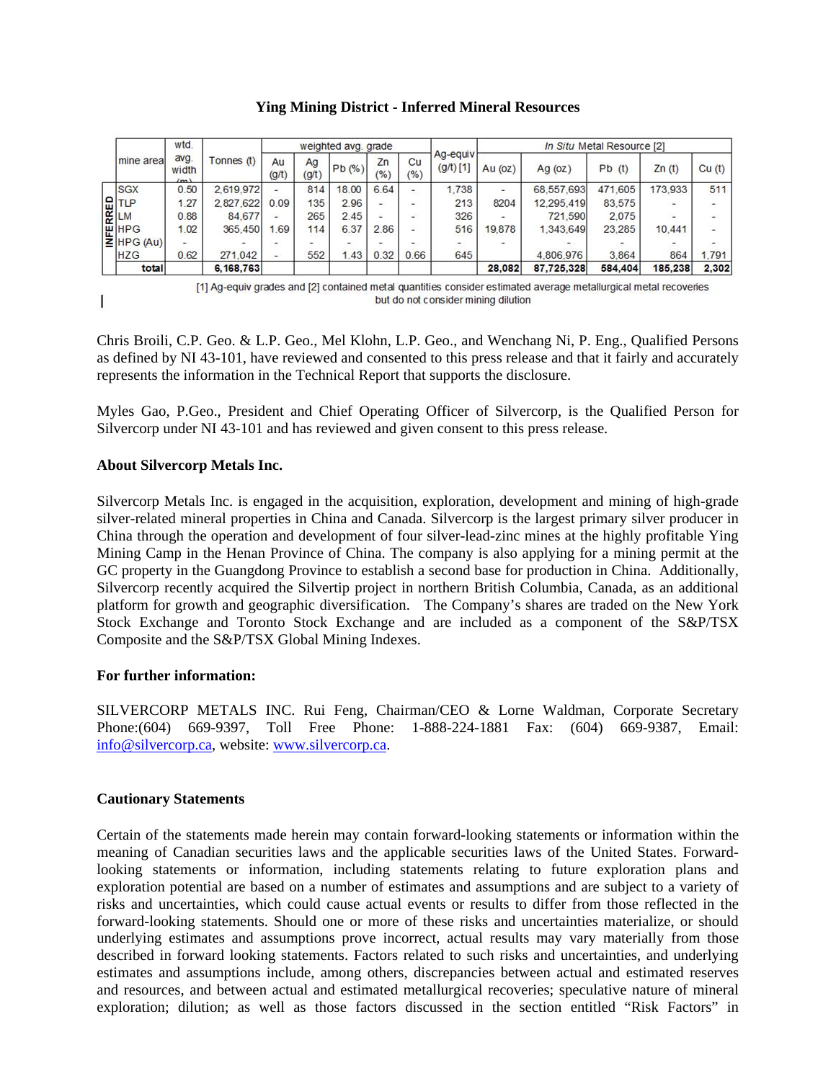#### **Ying Mining District - Inferred Mineral Resources**

|                                           | wtd.<br>avg.<br>width<br>(m) | Tonnes (t) |             |             | weighted avg. grade |           |             | Ag-equiv<br>$(g/t)$ [1] | In Situ Metal Resource [2] |            |         |         |                          |  |
|-------------------------------------------|------------------------------|------------|-------------|-------------|---------------------|-----------|-------------|-------------------------|----------------------------|------------|---------|---------|--------------------------|--|
| mine area                                 |                              |            | Au<br>(g/t) | Ag<br>(g/t) | Pb(%)               | Zn<br>(%) | Cu<br>(9/6) |                         | Au $(oz)$                  | Ag $(oz)$  | Pb(t)   | Zn(t)   | Cu <sub>(t)</sub>        |  |
| <b>SGX</b>                                | 0.50                         | 2.619.972  |             | 814         | 18.00               | 6.64      |             | 1.738                   |                            | 68.557.693 | 471,605 | 173,933 | 511                      |  |
|                                           | 1.27                         | 2.827.622  | 0.09        | 135         | 2.96                |           |             | 213                     | 8204                       | 12.295.419 | 83,575  | $\sim$  | $\overline{\phantom{a}}$ |  |
| <b>RELATLP</b>                            | 0.88                         | 84.677     |             | 265         | 2.45                | $\sim$    |             | 326                     | $\overline{\phantom{a}}$   | 721,590    | 2.075   | $\sim$  | ۰                        |  |
|                                           | 1.02                         | 365,450    | 69          | 114         | 6.37                | 2.86      |             | 516                     | 19,878                     | 1.343.649  | 23.285  | 10,441  | Ξ                        |  |
| $\mathbb{E}$ HPG<br>$\mathbb{E}$ HPG (Au) |                              |            |             |             |                     |           |             |                         |                            |            |         |         |                          |  |
| <b>HZG</b>                                | 0.62                         | 271.042    |             | 552         | 1.43                | 0.32      | 0.66        | 645                     |                            | 4.806.976  | 3.864   | 864     | 1.791                    |  |
| total                                     |                              | 6,168,763  |             |             |                     |           |             |                         | 28,082                     | 87.725.328 | 584,404 | 185,238 | 2.302                    |  |

T

[1] Ag-equiv grades and [2] contained metal quantities consider estimated average metallurgical metal recoveries but do not consider mining dilution

Chris Broili, C.P. Geo. & L.P. Geo., Mel Klohn, L.P. Geo., and Wenchang Ni, P. Eng., Qualified Persons as defined by NI 43-101, have reviewed and consented to this press release and that it fairly and accurately represents the information in the Technical Report that supports the disclosure.

Myles Gao, P.Geo., President and Chief Operating Officer of Silvercorp, is the Qualified Person for Silvercorp under NI 43-101 and has reviewed and given consent to this press release.

### **About Silvercorp Metals Inc.**

Silvercorp Metals Inc. is engaged in the acquisition, exploration, development and mining of high-grade silver-related mineral properties in China and Canada. Silvercorp is the largest primary silver producer in China through the operation and development of four silver-lead-zinc mines at the highly profitable Ying Mining Camp in the Henan Province of China. The company is also applying for a mining permit at the GC property in the Guangdong Province to establish a second base for production in China. Additionally, Silvercorp recently acquired the Silvertip project in northern British Columbia, Canada, as an additional platform for growth and geographic diversification. The Company's shares are traded on the New York Stock Exchange and Toronto Stock Exchange and are included as a component of the S&P/TSX Composite and the S&P/TSX Global Mining Indexes.

### **For further information:**

SILVERCORP METALS INC. Rui Feng, Chairman/CEO & Lorne Waldman, Corporate Secretary Phone:(604) 669-9397, Toll Free Phone: 1-888-224-1881 Fax: (604) 669-9387, Email: info@silvercorp.ca, website: www.silvercorp.ca.

### **Cautionary Statements**

Certain of the statements made herein may contain forward-looking statements or information within the meaning of Canadian securities laws and the applicable securities laws of the United States. Forwardlooking statements or information, including statements relating to future exploration plans and exploration potential are based on a number of estimates and assumptions and are subject to a variety of risks and uncertainties, which could cause actual events or results to differ from those reflected in the forward-looking statements. Should one or more of these risks and uncertainties materialize, or should underlying estimates and assumptions prove incorrect, actual results may vary materially from those described in forward looking statements. Factors related to such risks and uncertainties, and underlying estimates and assumptions include, among others, discrepancies between actual and estimated reserves and resources, and between actual and estimated metallurgical recoveries; speculative nature of mineral exploration; dilution; as well as those factors discussed in the section entitled "Risk Factors" in